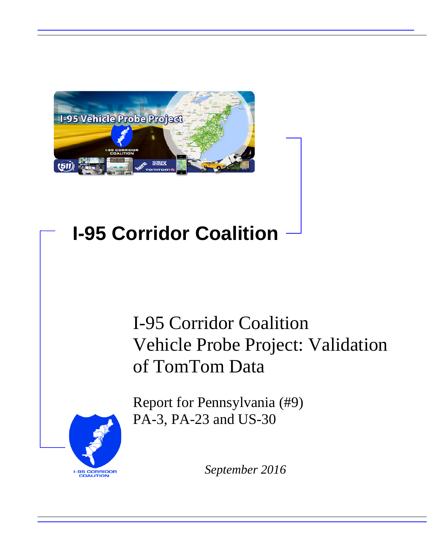

# **I-95 Corridor Coalition**

# I-95 Corridor Coalition Vehicle Probe Project: Validation of TomTom Data

Report for Pennsylvania (#9) PA-3, PA-23 and US-30



*September 2016*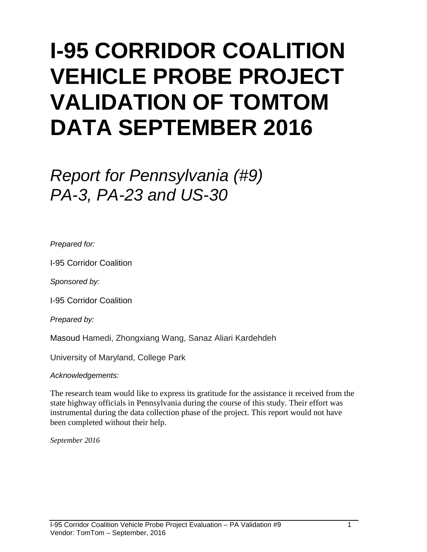# **I-95 CORRIDOR COALITION VEHICLE PROBE PROJECT VALIDATION OF TOMTOM DATA SEPTEMBER 2016**

# *Report for Pennsylvania (#9) PA-3, PA-23 and US-30*

*Prepared for:*

I-95 Corridor Coalition

*Sponsored by:*

I-95 Corridor Coalition

*Prepared by:*

Masoud Hamedi, Zhongxiang Wang, Sanaz Aliari Kardehdeh

University of Maryland, College Park

*Acknowledgements:*

The research team would like to express its gratitude for the assistance it received from the state highway officials in Pennsylvania during the course of this study. Their effort was instrumental during the data collection phase of the project. This report would not have been completed without their help.

*September 2016*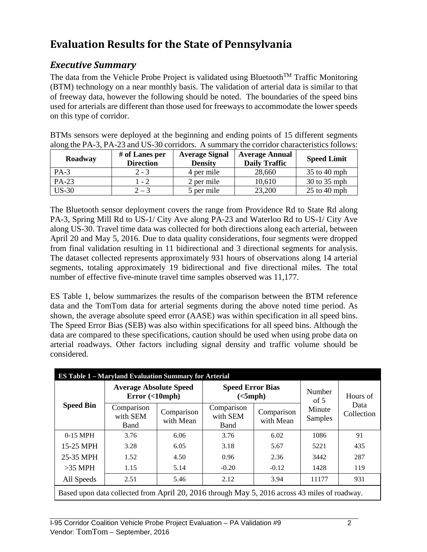# **Evaluation Results for the State of Pennsylvania**

## *Executive Summary*

The data from the Vehicle Probe Project is validated using Bluetooth<sup>TM</sup> Traffic Monitoring (BTM) technology on a near monthly basis. The validation of arterial data is similar to that of freeway data, however the following should be noted. The boundaries of the speed bins used for arterials are different than those used for freeways to accommodate the lower speeds on this type of corridor.

BTMs sensors were deployed at the beginning and ending points of 15 different segments along the PA-3, PA-23 and US-30 corridors. A summary the corridor characteristics follows:

| Roadway | # of Lanes per<br><b>Direction</b> | <b>Average Signal</b><br><b>Density</b> | <b>Average Annual</b><br><b>Daily Traffic</b> | <b>Speed Limit</b> |
|---------|------------------------------------|-----------------------------------------|-----------------------------------------------|--------------------|
| $PA-3$  | $2 - 3$                            | 4 per mile                              | 28,660                                        | $35$ to 40 mph     |
| PA-23   | $1 - 2$                            | 2 per mile                              | 10,610                                        | 30 to 35 mph       |
| $US-30$ | $2 - 3$                            | 5 per mile                              | 23,200                                        | $25$ to 40 mph     |

The Bluetooth sensor deployment covers the range from Providence Rd to State Rd along PA-3, Spring Mill Rd to US-1/ City Ave along PA-23 and Waterloo Rd to US-1/ City Ave along US-30. Travel time data was collected for both directions along each arterial, between April 20 and May 5, 2016. Due to data quality considerations, four segments were dropped from final validation resulting in 11 bidirectional and 3 directional segments for analysis. The dataset collected represents approximately 931 hours of observations along 14 arterial segments, totaling approximately 19 bidirectional and five directional miles. The total number of effective five-minute travel time samples observed was 11,177.

ES Table 1, below summarizes the results of the comparison between the BTM reference data and the TomTom data for arterial segments during the above noted time period. As shown, the average absolute speed error (AASE) was within specification in all speed bins. The Speed Error Bias (SEB) was also within specifications for all speed bins. Although the data are compared to these specifications, caution should be used when using probe data on arterial roadways. Other factors including signal density and traffic volume should be considered.

|                  | <b>ES Table 1 – Maryland Evaluation Summary for Arterial</b>                                  |                         |                                       |                         |                  |                    |  |
|------------------|-----------------------------------------------------------------------------------------------|-------------------------|---------------------------------------|-------------------------|------------------|--------------------|--|
|                  | <b>Average Absolute Speed</b><br>Error(<10                                                    |                         | <b>Speed Error Bias</b><br>(<5 mph)   |                         | Number<br>of $5$ | Hours of           |  |
| <b>Speed Bin</b> | Comparison<br>with SEM<br>Band                                                                | Comparison<br>with Mean | Comparison<br>with SEM<br><b>Band</b> | Comparison<br>with Mean |                  | Data<br>Collection |  |
| $0-15$ MPH       | 3.76                                                                                          | 6.06                    | 3.76                                  | 6.02                    | 1086             | 91                 |  |
| 15-25 MPH        | 3.28                                                                                          | 6.05                    | 3.18                                  | 5.67                    | 5221             | 435                |  |
| 25-35 MPH        | 1.52                                                                                          | 4.50                    | 0.96                                  | 2.36                    | 3442             | 287                |  |
| $>35$ MPH        | 1.15                                                                                          | 5.14                    | $-0.20$                               | $-0.12$                 | 1428             | 119                |  |
| All Speeds       | 2.51                                                                                          | 5.46                    | 2.12                                  | 3.94                    | 11177            | 931                |  |
|                  | Based upon data collected from April 20, 2016 through May 5, 2016 across 43 miles of roadway. |                         |                                       |                         |                  |                    |  |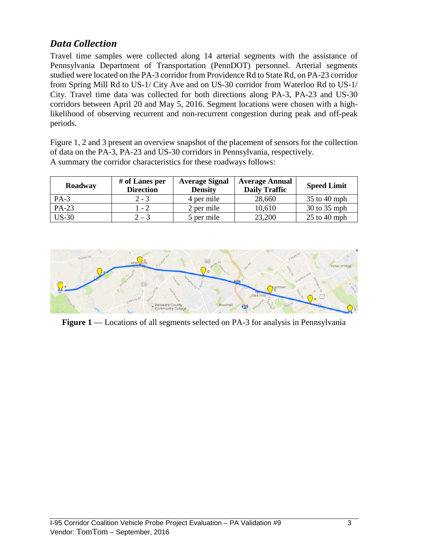# *Data Collection*

Travel time samples were collected along 14 arterial segments with the assistance of Pennsylvania Department of Transportation (PennDOT) personnel. Arterial segments studied were located on the PA-3 corridor from Providence Rd to State Rd, on PA-23 corridor from Spring Mill Rd to US-1/ City Ave and on US-30 corridor from Waterloo Rd to US-1/ City. Travel time data was collected for both directions along PA-3, PA-23 and US-30 corridors between April 20 and May 5, 2016. Segment locations were chosen with a highlikelihood of observing recurrent and non-recurrent congestion during peak and off-peak periods.

Figure 1, 2 and 3 present an overview snapshot of the placement of sensors for the collection of data on the PA-3, PA-23 and US-30 corridors in Pennsylvania, respectively. A summary the corridor characteristics for these roadways follows:

| Roadway | # of Lanes per<br><b>Direction</b> | <b>Average Signal</b><br><b>Density</b> | <b>Average Annual</b><br><b>Daily Traffic</b> | <b>Speed Limit</b> |
|---------|------------------------------------|-----------------------------------------|-----------------------------------------------|--------------------|
| $PA-3$  | $2 - 3$                            | 4 per mile                              | 28,660                                        | $35$ to 40 mph     |
| PA-23   | $1 - 2$                            | 2 per mile                              | 10,610                                        | 30 to 35 mph       |
| $US-30$ | $2 - 3$                            | 5 per mile                              | 23,200                                        | $25$ to 40 mph     |



**Figure 1** –– Locations of all segments selected on PA-3 for analysis in Pennsylvania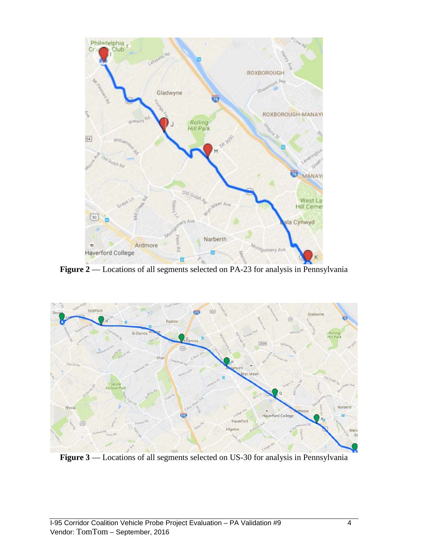

Figure 2 –– Locations of all segments selected on PA-23 for analysis in Pennsylvania



Figure 3 –– Locations of all segments selected on US-30 for analysis in Pennsylvania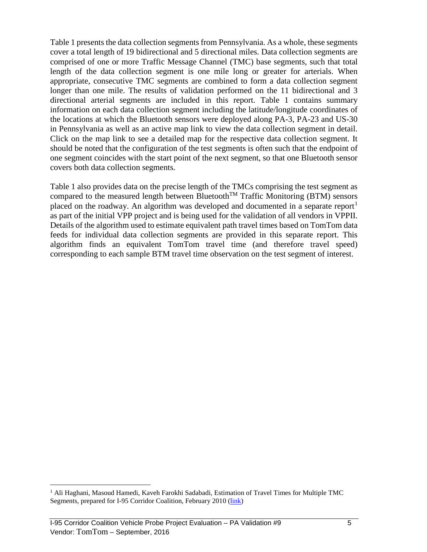Table 1 presents the data collection segments from Pennsylvania. As a whole, these segments cover a total length of 19 bidirectional and 5 directional miles. Data collection segments are comprised of one or more Traffic Message Channel (TMC) base segments, such that total length of the data collection segment is one mile long or greater for arterials. When appropriate, consecutive TMC segments are combined to form a data collection segment longer than one mile. The results of validation performed on the 11 bidirectional and 3 directional arterial segments are included in this report. Table 1 contains summary information on each data collection segment including the latitude/longitude coordinates of the locations at which the Bluetooth sensors were deployed along PA-3, PA-23 and US-30 in Pennsylvania as well as an active map link to view the data collection segment in detail. Click on the map link to see a detailed map for the respective data collection segment. It should be noted that the configuration of the test segments is often such that the endpoint of one segment coincides with the start point of the next segment, so that one Bluetooth sensor covers both data collection segments.

Table 1 also provides data on the precise length of the TMCs comprising the test segment as compared to the measured length between Bluetooth<sup>TM</sup> Traffic Monitoring (BTM) sensors placed on the roadway. An algorithm was developed and documented in a separate report<sup>[1](#page-5-0)</sup> as part of the initial VPP project and is being used for the validation of all vendors in VPPII. Details of the algorithm used to estimate equivalent path travel times based on TomTom data feeds for individual data collection segments are provided in this separate report. This algorithm finds an equivalent TomTom travel time (and therefore travel speed) corresponding to each sample BTM travel time observation on the test segment of interest.

<span id="page-5-0"></span> $<sup>1</sup>$  Ali Haghani, Masoud Hamedi, Kaveh Farokhi Sadabadi, Estimation of Travel Times for Multiple TMC</sup> Segments, prepared for I-95 Corridor Coalition, February 2010 [\(link\)](http://www.i95coalition.org/wp-content/uploads/2015/02/I-95-CC-Estimation-of-Travel-Times-for-Multiple-TMC-Segments-FINAL2.pdf)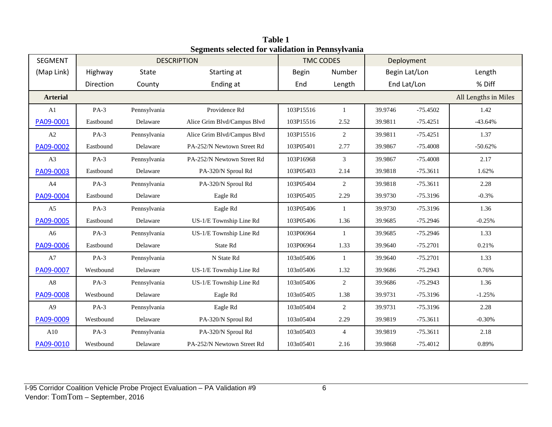| <b>SEGMENT</b>  |           |              | <b>DESCRIPTION</b>          | <b>TMC CODES</b> |                |         | Deployment    |           |  |
|-----------------|-----------|--------------|-----------------------------|------------------|----------------|---------|---------------|-----------|--|
| (Map Link)      | Highway   | State        | Starting at                 | <b>Begin</b>     | Number         |         | Begin Lat/Lon | Length    |  |
|                 | Direction | County       | Ending at                   | End              | Length         |         | End Lat/Lon   | % Diff    |  |
| <b>Arterial</b> |           |              |                             |                  |                |         |               |           |  |
| A <sub>1</sub>  | $PA-3$    | Pennsylvania | Providence Rd               | 103P15516        | $\mathbf{1}$   | 39.9746 | $-75.4502$    | 1.42      |  |
| PA09-0001       | Eastbound | Delaware     | Alice Grim Blvd/Campus Blvd | 103P15516        | 2.52           | 39.9811 | $-75.4251$    | $-43.64%$ |  |
| $\mathbf{A2}$   | $PA-3$    | Pennsylvania | Alice Grim Blvd/Campus Blvd | 103P15516        | 2              | 39.9811 | $-75.4251$    | 1.37      |  |
| PA09-0002       | Eastbound | Delaware     | PA-252/N Newtown Street Rd  | 103P05401        | 2.77           | 39.9867 | $-75.4008$    | $-50.62%$ |  |
| A3              | $PA-3$    | Pennsylvania | PA-252/N Newtown Street Rd  | 103P16968        | $\mathfrak{Z}$ | 39.9867 | $-75.4008$    | 2.17      |  |
| PA09-0003       | Eastbound | Delaware     | PA-320/N Sproul Rd          | 103P05403        | 2.14           | 39.9818 | $-75.3611$    | 1.62%     |  |
| A4              | $PA-3$    | Pennsylvania | PA-320/N Sproul Rd          | 103P05404        | 2              | 39.9818 | $-75.3611$    | 2.28      |  |
| PA09-0004       | Eastbound | Delaware     | Eagle Rd                    | 103P05405        | 2.29           | 39.9730 | $-75.3196$    | $-0.3%$   |  |
| A <sub>5</sub>  | $PA-3$    | Pennsylvania | Eagle Rd                    | 103P05406        | $\mathbf{1}$   | 39.9730 | $-75.3196$    | 1.36      |  |
| PA09-0005       | Eastbound | Delaware     | US-1/E Township Line Rd     | 103P05406        | 1.36           | 39.9685 | $-75.2946$    | $-0.25%$  |  |
| A6              | $PA-3$    | Pennsylvania | US-1/E Township Line Rd     | 103P06964        | $\mathbf{1}$   | 39.9685 | $-75.2946$    | 1.33      |  |
| PA09-0006       | Eastbound | Delaware     | State Rd                    | 103P06964        | 1.33           | 39.9640 | $-75.2701$    | 0.21%     |  |
| $\rm A7$        | $PA-3$    | Pennsylvania | N State Rd                  | 103n05406        | $\mathbf{1}$   | 39.9640 | $-75.2701$    | 1.33      |  |
| PA09-0007       | Westbound | Delaware     | US-1/E Township Line Rd     | 103n05406        | 1.32           | 39.9686 | $-75.2943$    | 0.76%     |  |
| $\rm A8$        | $PA-3$    | Pennsylvania | US-1/E Township Line Rd     | 103n05406        | 2              | 39.9686 | $-75.2943$    | 1.36      |  |
| PA09-0008       | Westbound | Delaware     | Eagle Rd                    | 103n05405        | 1.38           | 39.9731 | $-75.3196$    | $-1.25%$  |  |
| A <sub>9</sub>  | $PA-3$    | Pennsylvania | Eagle Rd                    | 103n05404        | 2              | 39.9731 | $-75.3196$    | 2.28      |  |
| PA09-0009       | Westbound | Delaware     | PA-320/N Sproul Rd          | 103n05404        | 2.29           | 39.9819 | $-75.3611$    | $-0.30%$  |  |
| A10             | $PA-3$    | Pennsylvania | PA-320/N Sproul Rd          | 103n05403        | $\overline{4}$ | 39.9819 | $-75.3611$    | 2.18      |  |
| PA09-0010       | Westbound | Delaware     | PA-252/N Newtown Street Rd  | 103n05401        | 2.16           | 39.9868 | $-75.4012$    | 0.89%     |  |

**Table 1 Segments selected for validation in Pennsylvania**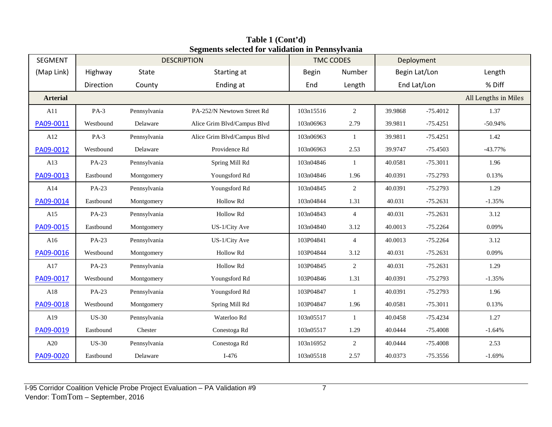| <b>SEGMENT</b>  |              |              | редисию эсксесси тог танаанон нг геннэттанна<br><b>DESCRIPTION</b> | <b>TMC CODES</b> |                | Deployment |               |           |
|-----------------|--------------|--------------|--------------------------------------------------------------------|------------------|----------------|------------|---------------|-----------|
| (Map Link)      | Highway      | State        | Starting at                                                        | Begin            | Number         |            | Begin Lat/Lon | Length    |
|                 | Direction    | County       | Ending at                                                          | End              | Length         |            | End Lat/Lon   | % Diff    |
| <b>Arterial</b> |              |              | All Lengths in Miles                                               |                  |                |            |               |           |
| A11             | $PA-3$       | Pennsylvania | PA-252/N Newtown Street Rd                                         | 103n15516        | $\overline{2}$ | 39.9868    | $-75.4012$    | 1.37      |
| PA09-0011       | Westbound    | Delaware     | Alice Grim Blvd/Campus Blvd                                        | 103n06963        | 2.79           | 39.9811    | $-75.4251$    | $-50.94%$ |
| A12             | $PA-3$       | Pennsylvania | Alice Grim Blvd/Campus Blvd                                        | 103n06963        | $\mathbf{1}$   | 39.9811    | $-75.4251$    | 1.42      |
| PA09-0012       | Westbound    | Delaware     | Providence Rd                                                      | 103n06963        | 2.53           | 39.9747    | $-75.4503$    | $-43.77%$ |
| A13             | PA-23        | Pennsylvania | Spring Mill Rd                                                     | 103n04846        | $\mathbf{1}$   | 40.0581    | $-75.3011$    | 1.96      |
| PA09-0013       | Eastbound    | Montgomery   | Youngsford Rd                                                      | 103n04846        | 1.96           | 40.0391    | $-75.2793$    | 0.13%     |
| A14             | PA-23        | Pennsylvania | Youngsford Rd                                                      | 103n04845        | $\overline{2}$ | 40.0391    | $-75.2793$    | 1.29      |
| PA09-0014       | Eastbound    | Montgomery   | Hollow Rd                                                          | 103n04844        | 1.31           | 40.031     | $-75.2631$    | $-1.35%$  |
| A15             | PA-23        | Pennsylvania | Hollow Rd                                                          | 103n04843        | $\overline{4}$ | 40.031     | $-75.2631$    | 3.12      |
| PA09-0015       | Eastbound    | Montgomery   | US-1/City Ave                                                      | 103n04840        | 3.12           | 40.0013    | $-75.2264$    | 0.09%     |
| A16             | PA-23        | Pennsylvania | US-1/City Ave                                                      | 103P04841        | $\overline{4}$ | 40.0013    | $-75.2264$    | 3.12      |
| PA09-0016       | Westbound    | Montgomery   | Hollow Rd                                                          | 103P04844        | 3.12           | 40.031     | $-75.2631$    | 0.09%     |
| A17             | PA-23        | Pennsylvania | Hollow Rd                                                          | 103P04845        | $\overline{2}$ | 40.031     | $-75.2631$    | 1.29      |
| PA09-0017       | Westbound    | Montgomery   | Youngsford Rd                                                      | 103P04846        | 1.31           | 40.0391    | $-75.2793$    | $-1.35%$  |
| A18             | PA-23        | Pennsylvania | Youngsford Rd                                                      | 103P04847        | $\mathbf{1}$   | 40.0391    | $-75.2793$    | 1.96      |
| PA09-0018       | Westbound    | Montgomery   | Spring Mill Rd                                                     | 103P04847        | 1.96           | 40.0581    | $-75.3011$    | 0.13%     |
| A19             | <b>US-30</b> | Pennsylvania | Waterloo Rd                                                        | 103n05517        | $\mathbf{1}$   | 40.0458    | $-75.4234$    | 1.27      |
| PA09-0019       | Eastbound    | Chester      | Conestoga Rd                                                       | 103n05517        | 1.29           | 40.0444    | $-75.4008$    | $-1.64%$  |
| A20             | <b>US-30</b> | Pennsylvania | Conestoga Rd                                                       | 103n16952        | $\overline{2}$ | 40.0444    | $-75.4008$    | 2.53      |
| PA09-0020       | Eastbound    | Delaware     | $I-476$                                                            | 103n05518        | 2.57           | 40.0373    | $-75.3556$    | $-1.69%$  |

**Table 1 (Cont'd) Segments selected for validation in Pennsylvania**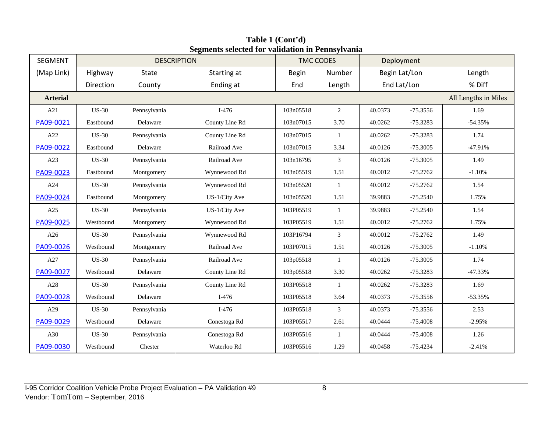| <b>SEGMENT</b>  |              | <b>DESCRIPTION</b> |                | <b>TMC CODES</b> |                |         | Deployment    |                      |
|-----------------|--------------|--------------------|----------------|------------------|----------------|---------|---------------|----------------------|
| (Map Link)      | Highway      | State              | Starting at    | <b>Begin</b>     | Number         |         | Begin Lat/Lon | Length               |
|                 | Direction    | County             | Ending at      | End              | Length         |         | End Lat/Lon   | % Diff               |
| <b>Arterial</b> |              |                    |                |                  |                |         |               | All Lengths in Miles |
| A21             | <b>US-30</b> | Pennsylvania       | $I-476$        | 103n05518        | $\overline{2}$ | 40.0373 | $-75.3556$    | 1.69                 |
| PA09-0021       | Eastbound    | Delaware           | County Line Rd | 103n07015        | 3.70           | 40.0262 | $-75.3283$    | $-54.35%$            |
| A22             | <b>US-30</b> | Pennsylvania       | County Line Rd | 103n07015        | $\mathbf{1}$   | 40.0262 | $-75.3283$    | 1.74                 |
| PA09-0022       | Eastbound    | Delaware           | Railroad Ave   | 103n07015        | 3.34           | 40.0126 | $-75.3005$    | $-47.91%$            |
| A23             | <b>US-30</b> | Pennsylvania       | Railroad Ave   | 103n16795        | $\mathfrak{Z}$ | 40.0126 | $-75.3005$    | 1.49                 |
| PA09-0023       | Eastbound    | Montgomery         | Wynnewood Rd   | 103n05519        | 1.51           | 40.0012 | $-75.2762$    | $-1.10%$             |
| A24             | <b>US-30</b> | Pennsylvania       | Wynnewood Rd   | 103n05520        | $\mathbf{1}$   | 40.0012 | $-75.2762$    | 1.54                 |
| PA09-0024       | Eastbound    | Montgomery         | US-1/City Ave  | 103n05520        | 1.51           | 39.9883 | $-75.2540$    | 1.75%                |
| A25             | <b>US-30</b> | Pennsylvania       | US-1/City Ave  | 103P05519        | $\mathbf{1}$   | 39.9883 | $-75.2540$    | 1.54                 |
| PA09-0025       | Westbound    | Montgomery         | Wynnewood Rd   | 103P05519        | 1.51           | 40.0012 | $-75.2762$    | 1.75%                |
| A26             | <b>US-30</b> | Pennsylvania       | Wynnewood Rd   | 103P16794        | 3              | 40.0012 | $-75.2762$    | 1.49                 |
| PA09-0026       | Westbound    | Montgomery         | Railroad Ave   | 103P07015        | 1.51           | 40.0126 | $-75.3005$    | $-1.10%$             |
| A27             | <b>US-30</b> | Pennsylvania       | Railroad Ave   | 103p05518        | $\mathbf{1}$   | 40.0126 | $-75.3005$    | 1.74                 |
| PA09-0027       | Westbound    | Delaware           | County Line Rd | 103p05518        | 3.30           | 40.0262 | $-75.3283$    | $-47.33%$            |
| A28             | $US-30$      | Pennsylvania       | County Line Rd | 103P05518        | -1             | 40.0262 | $-75.3283$    | 1.69                 |
| PA09-0028       | Westbound    | Delaware           | $I-476$        | 103P05518        | 3.64           | 40.0373 | $-75.3556$    | $-53.35%$            |
| A29             | $US-30$      | Pennsylvania       | $I-476$        | 103P05518        | 3              | 40.0373 | $-75.3556$    | 2.53                 |
| PA09-0029       | Westbound    | Delaware           | Conestoga Rd   | 103P05517        | 2.61           | 40.0444 | $-75.4008$    | $-2.95%$             |
| A30             | <b>US-30</b> | Pennsylvania       | Conestoga Rd   | 103P05516        | -1             | 40.0444 | $-75.4008$    | 1.26                 |
| PA09-0030       | Westbound    | Chester            | Waterloo Rd    | 103P05516        | 1.29           | 40.0458 | $-75.4234$    | $-2.41%$             |

**Table 1 (Cont'd) Segments selected for validation in Pennsylvania**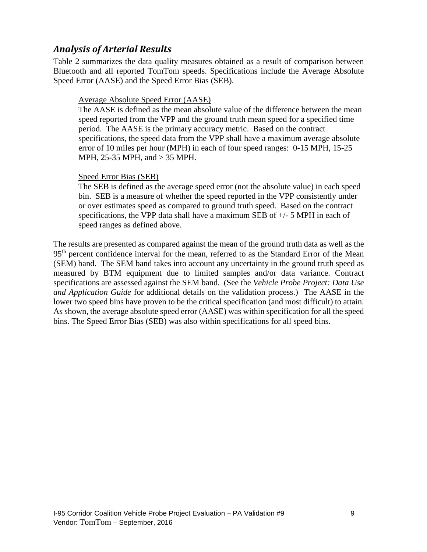# *Analysis of Arterial Results*

Table 2 summarizes the data quality measures obtained as a result of comparison between Bluetooth and all reported TomTom speeds. Specifications include the Average Absolute Speed Error (AASE) and the Speed Error Bias (SEB).

### Average Absolute Speed Error (AASE)

The AASE is defined as the mean absolute value of the difference between the mean speed reported from the VPP and the ground truth mean speed for a specified time period. The AASE is the primary accuracy metric. Based on the contract specifications, the speed data from the VPP shall have a maximum average absolute error of 10 miles per hour (MPH) in each of four speed ranges: 0-15 MPH, 15-25 MPH, 25-35 MPH, and > 35 MPH.

### Speed Error Bias (SEB)

The SEB is defined as the average speed error (not the absolute value) in each speed bin. SEB is a measure of whether the speed reported in the VPP consistently under or over estimates speed as compared to ground truth speed. Based on the contract specifications, the VPP data shall have a maximum SEB of  $+/-$  5 MPH in each of speed ranges as defined above.

The results are presented as compared against the mean of the ground truth data as well as the 95<sup>th</sup> percent confidence interval for the mean, referred to as the Standard Error of the Mean (SEM) band. The SEM band takes into account any uncertainty in the ground truth speed as measured by BTM equipment due to limited samples and/or data variance. Contract specifications are assessed against the SEM band. (See the *Vehicle Probe Project: Data Use and Application Guide* for additional details on the validation process.) The AASE in the lower two speed bins have proven to be the critical specification (and most difficult) to attain. As shown, the average absolute speed error (AASE) was within specification for all the speed bins. The Speed Error Bias (SEB) was also within specifications for all speed bins.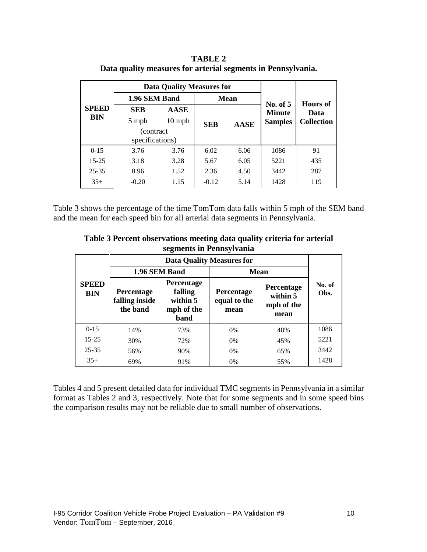|                            |                                 | <b>Data Quality Measures for</b> |             |                |                   |                  |  |
|----------------------------|---------------------------------|----------------------------------|-------------|----------------|-------------------|------------------|--|
| <b>SPEED</b><br><b>BIN</b> | 1.96 SEM Band                   |                                  |             | <b>Mean</b>    | No. of 5          |                  |  |
|                            | <b>SEB</b>                      | <b>AASE</b>                      |             |                | <b>Minute</b>     | Hours of<br>Data |  |
|                            | $10$ mph<br>5 mph<br><b>SEB</b> |                                  | <b>AASE</b> | <b>Samples</b> | <b>Collection</b> |                  |  |
|                            | (contract)                      |                                  |             |                |                   |                  |  |
|                            | specifications)                 |                                  |             |                |                   |                  |  |
| $0-15$                     | 3.76                            | 3.76                             | 6.02        | 6.06           | 1086              | 91               |  |
| $15 - 25$                  | 3.18                            | 3.28                             | 5.67        | 6.05           | 5221              | 435              |  |
| $25 - 35$                  | 0.96                            | 1.52                             | 2.36        | 4.50           | 3442              | 287              |  |
| $35+$                      | $-0.20$                         | 1.15                             | $-0.12$     | 5.14           | 1428              | 119              |  |

**TABLE 2 Data quality measures for arterial segments in Pennsylvania.**

Table 3 shows the percentage of the time TomTom data falls within 5 mph of the SEM band and the mean for each speed bin for all arterial data segments in Pennsylvania.

| Table 3 Percent observations meeting data quality criteria for arterial |
|-------------------------------------------------------------------------|
| segments in Pennsylvania                                                |

|                            | <b>Data Quality Measures for</b>         |                                                                |                                    |                                              |                |  |  |  |  |
|----------------------------|------------------------------------------|----------------------------------------------------------------|------------------------------------|----------------------------------------------|----------------|--|--|--|--|
|                            | 1.96 SEM Band                            |                                                                | <b>Mean</b>                        |                                              |                |  |  |  |  |
| <b>SPEED</b><br><b>BIN</b> | Percentage<br>falling inside<br>the band | Percentage<br>falling<br>within 5<br>mph of the<br><b>band</b> | Percentage<br>equal to the<br>mean | Percentage<br>within 5<br>mph of the<br>mean | No. of<br>Obs. |  |  |  |  |
| $0-15$                     | 14%                                      | 73%                                                            | 0%                                 | 48%                                          | 1086           |  |  |  |  |
| $15 - 25$                  | 30%                                      | 72%                                                            | 0%                                 | 45%                                          | 5221           |  |  |  |  |
| $25 - 35$                  | 56%                                      | 90%                                                            | 0%                                 | 65%                                          | 3442           |  |  |  |  |
| $35+$                      | 69%                                      | 91%                                                            | 0%                                 | 55%                                          | 1428           |  |  |  |  |

Tables 4 and 5 present detailed data for individual TMC segments in Pennsylvania in a similar format as Tables 2 and 3, respectively. Note that for some segments and in some speed bins the comparison results may not be reliable due to small number of observations.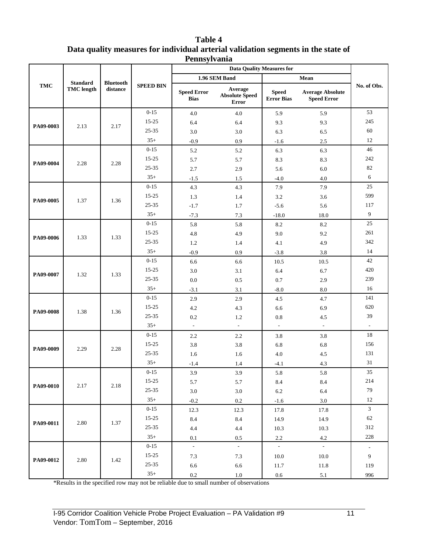| <b>Table 4</b>                                                                    |
|-----------------------------------------------------------------------------------|
| Data quality measures for individual arterial validation segments in the state of |
| Pennsylvania                                                                      |

|            |                   |                  |                  |                                   | <b>Data Quality Measures for</b>                 |                                   |                                               |                          |
|------------|-------------------|------------------|------------------|-----------------------------------|--------------------------------------------------|-----------------------------------|-----------------------------------------------|--------------------------|
|            | <b>Standard</b>   | <b>Bluetooth</b> |                  |                                   | 1.96 SEM Band                                    |                                   | Mean                                          |                          |
| <b>TMC</b> | <b>TMC</b> length | distance         | <b>SPEED BIN</b> | <b>Speed Error</b><br><b>Bias</b> | Average<br><b>Absolute Speed</b><br><b>Error</b> | <b>Speed</b><br><b>Error Bias</b> | <b>Average Absolute</b><br><b>Speed Error</b> | No. of Obs.              |
|            |                   |                  | $0 - 15$         | 4.0                               | 4.0                                              | 5.9                               | 5.9                                           | 53                       |
| PA09-0003  | 2.13              | 2.17             | $15 - 25$        | 6.4                               | 6.4                                              | 9.3                               | 9.3                                           | 245                      |
|            |                   |                  | 25-35            | 3.0                               | 3.0                                              | 6.3                               | 6.5                                           | 60                       |
|            |                   |                  | $35+$            | $-0.9$                            | 0.9                                              | $-1.6$                            | 2.5                                           | 12                       |
|            |                   |                  | $0 - 15$         | 5.2                               | 5.2                                              | 6.3                               | 6.3                                           | 46                       |
| PA09-0004  | 2.28              | 2.28             | 15-25            | 5.7                               | 5.7                                              | 8.3                               | 8.3                                           | 242                      |
|            |                   |                  | 25-35            | 2.7                               | 2.9                                              | 5.6                               | $6.0\,$                                       | 82                       |
|            |                   |                  | $35+$            | $-1.5$                            | 1.5                                              | $-4.0$                            | 4.0                                           | 6                        |
|            |                   |                  | $0 - 15$         | 4.3                               | 4.3                                              | 7.9                               | 7.9                                           | 25                       |
| PA09-0005  | 1.37              | 1.36             | $15 - 25$        | 1.3                               | 1.4                                              | 3.2                               | 3.6                                           | 599                      |
|            |                   |                  | $25 - 35$        | $-1.7$                            | 1.7                                              | $-5.6$                            | 5.6                                           | 117                      |
|            |                   |                  | $35+$            | $-7.3$                            | $7.3\,$                                          | $-18.0$                           | 18.0                                          | $\overline{9}$           |
|            |                   |                  | $0 - 15$         | 5.8                               | 5.8                                              | 8.2                               | 8.2                                           | 25                       |
| PA09-0006  | 1.33              | 1.33             | 15-25            | 4.8                               | 4.9                                              | 9.0                               | 9.2                                           | 261                      |
|            |                   |                  | 25-35            | 1.2                               | 1.4                                              | 4.1                               | 4.9                                           | 342                      |
|            |                   |                  | $35+$            | $-0.9$                            | 0.9                                              | $-3.8$                            | 3.8                                           | 14                       |
|            |                   |                  | $0 - 15$         | 6.6                               | 6.6                                              | 10.5                              | 10.5                                          | 42                       |
| PA09-0007  | 1.32              | 1.33             | $15 - 25$        | 3.0                               | 3.1                                              | 6.4                               | 6.7                                           | 420                      |
|            |                   |                  | $25 - 35$        | 0.0                               | 0.5                                              | 0.7                               | 2.9                                           | 239                      |
|            |                   |                  | $35+$            | $-3.1$                            | 3.1                                              | $-8.0$                            | 8.0                                           | 16                       |
|            |                   |                  | $0 - 15$         | 2.9                               | 2.9                                              | 4.5                               | 4.7                                           | 141                      |
| PA09-0008  | 1.38              | 1.36             | 15-25            | 4.2                               | 4.3                                              | 6.6                               | 6.9                                           | 620                      |
|            |                   |                  | 25-35            | 0.2                               | 1.2                                              | 0.8                               | 4.5                                           | 39                       |
|            |                   |                  | $35+$            | $\omega$                          | $\sim$                                           | $\blacksquare$                    | $\mathcal{L}$                                 | $\overline{\phantom{a}}$ |
|            |                   |                  | $0 - 15$         | 2.2                               | 2.2                                              | 3.8                               | 3.8                                           | 18                       |
| PA09-0009  | 2.29              | 2.28             | $15 - 25$        | 3.8                               | 3.8                                              | 6.8                               | 6.8                                           | 156                      |
|            |                   |                  | $25 - 35$        | 1.6                               | 1.6                                              | 4.0                               | 4.5                                           | 131                      |
|            |                   |                  | $35+$            | $-1.4$                            | 1.4                                              | -4.1                              | 4.3                                           | 31                       |
|            |                   |                  | $0 - 15$         | 3.9                               | 3.9                                              | 5.8                               | 5.8                                           | 35                       |
| PA09-0010  | 2.17              | 2.18             | $15-25$          | 5.7                               | 5.7                                              | 8.4                               | 8.4                                           | 214                      |
|            |                   |                  | $25 - 35$        | $3.0\,$                           | $3.0\,$                                          | $6.2\,$                           | 6.4                                           | 79                       |
|            |                   |                  | $35+$            | $-0.2$                            | $0.2\,$                                          | $-1.6$                            | $3.0\,$                                       | $12\,$                   |
|            |                   |                  | $0 - 15$         | 12.3                              | 12.3                                             | 17.8                              | 17.8                                          | $\mathfrak{Z}$           |
| PA09-0011  | 2.80              | 1.37             | $15 - 25$        | 8.4                               | 8.4                                              | 14.9                              | 14.9                                          | 62                       |
|            |                   |                  | $25 - 35$        | $4.4\,$                           | $4.4\,$                                          | 10.3                              | 10.3                                          | 312                      |
|            |                   |                  | $35+$            | 0.1                               | $0.5\,$                                          | $2.2\,$                           | $4.2\,$                                       | 228                      |
|            |                   |                  | $0 - 15$         | $\sim$                            | $\sim$                                           | $\sim$                            | $\sim$                                        | $\overline{\phantom{a}}$ |
| PA09-0012  | 2.80              | 1.42             | $15-25$          | $7.3\,$                           | $7.3$                                            | 10.0                              | 10.0                                          | 9                        |
|            |                   |                  | $25 - 35$        | 6.6                               | 6.6                                              | 11.7                              | 11.8                                          | 119                      |
|            |                   |                  | $35+$            | $0.2\,$                           | $1.0\,$                                          | $0.6\,$                           | $5.1\,$                                       | 996                      |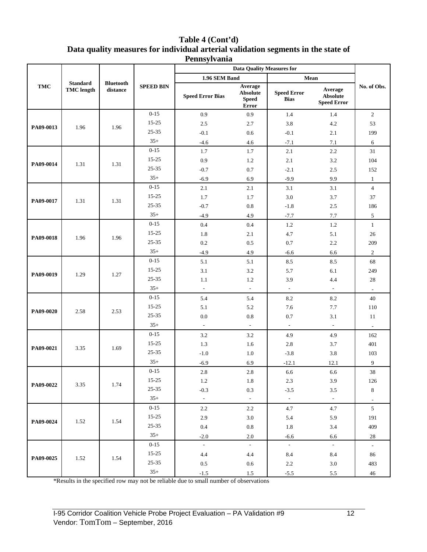#### **Table 4 (Cont'd) Data quality measures for individual arterial validation segments in the state of Pennsylvania**

|            |                                      |                              |                  | <b>Data Quality Measures for</b> |                                                     |                                   |                                                  |                     |
|------------|--------------------------------------|------------------------------|------------------|----------------------------------|-----------------------------------------------------|-----------------------------------|--------------------------------------------------|---------------------|
|            |                                      |                              |                  | 1.96 SEM Band                    |                                                     | Mean                              |                                                  |                     |
| <b>TMC</b> | <b>Standard</b><br><b>TMC</b> length | <b>Bluetooth</b><br>distance | <b>SPEED BIN</b> | <b>Speed Error Bias</b>          | Average<br><b>Absolute</b><br><b>Speed</b><br>Error | <b>Speed Error</b><br><b>Bias</b> | Average<br><b>Absolute</b><br><b>Speed Error</b> | No. of Obs.         |
|            |                                      |                              | $0 - 15$         | 0.9                              | 0.9                                                 | 1.4                               | 1.4                                              | $\boldsymbol{2}$    |
| PA09-0013  | 1.96                                 | 1.96                         | $15 - 25$        | 2.5                              | 2.7                                                 | 3.8                               | 4.2                                              | 53                  |
|            |                                      |                              | $25 - 35$        | $-0.1$                           | 0.6                                                 | $-0.1$                            | 2.1                                              | 199                 |
|            |                                      |                              | $35+$            | $-4.6$                           | 4.6                                                 | $-7.1$                            | 7.1                                              | 6                   |
|            |                                      |                              | $0 - 15$         | 1.7                              | 1.7                                                 | 2.1                               | 2.2                                              | 31                  |
| PA09-0014  | 1.31                                 | 1.31                         | 15-25            | 0.9                              | 1.2                                                 | 2.1                               | 3.2                                              | 104                 |
|            |                                      |                              | $25 - 35$        | $-0.7$                           | 0.7                                                 | $-2.1$                            | 2.5                                              | 152                 |
|            |                                      |                              | $35+$            | $-6.9$                           | 6.9                                                 | $-9.9$                            | 9.9                                              | $\mathbf{1}$        |
|            |                                      |                              | $0 - 15$         | 2.1                              | 2.1                                                 | 3.1                               | 3.1                                              | $\overline{4}$      |
| PA09-0017  | 1.31                                 | 1.31                         | 15-25            | 1.7                              | 1.7                                                 | 3.0                               | 3.7                                              | 37                  |
|            |                                      |                              | 25-35            | $-0.7$                           | 0.8                                                 | $-1.8$                            | 2.5                                              | 186                 |
|            |                                      |                              | $35+$            | $-4.9$                           | 4.9                                                 | $-7.7$                            | $7.7\,$                                          | 5                   |
|            |                                      |                              | $0 - 15$         | 0.4                              | 0.4                                                 | 1.2                               | 1.2                                              | $\mathbf{1}$        |
| PA09-0018  | 1.96                                 | 1.96                         | 15-25            | 1.8                              | 2.1                                                 | 4.7                               | 5.1                                              | $26\,$              |
|            |                                      |                              | 25-35            | 0.2                              | 0.5                                                 | 0.7                               | 2.2                                              | 209                 |
|            |                                      |                              | $35+$            | $-4.9$                           | 4.9                                                 | $-6.6$                            | 6.6                                              | $\overline{c}$      |
|            |                                      |                              | $0 - 15$         | 5.1                              | 5.1                                                 | 8.5                               | 8.5                                              | 68                  |
|            |                                      |                              | $15 - 25$        | 3.1                              | 3.2                                                 | 5.7                               | 6.1                                              | 249                 |
| PA09-0019  | 1.29                                 | 1.27                         | 25-35            | 1.1                              | 1.2                                                 | 3.9                               | 4.4                                              | 28                  |
|            |                                      |                              | $35+$            | $\mathbb{L}$                     | $\overline{\phantom{a}}$                            | $\overline{\phantom{a}}$          | $\blacksquare$                                   | $\sim$              |
|            |                                      |                              | $0 - 15$         | 5.4                              | 5.4                                                 | 8.2                               | 8.2                                              | 40                  |
|            | 2.58                                 |                              | 15-25            | 5.1                              | 5.2                                                 | 7.6                               | 7.7                                              | 110                 |
| PA09-0020  |                                      | 2.53                         | 25-35            | 0.0                              | 0.8                                                 | 0.7                               | 3.1                                              | 11                  |
|            |                                      |                              | $35+$            | $\overline{\phantom{a}}$         | $\overline{\phantom{a}}$                            | $\overline{\phantom{a}}$          | $\overline{\phantom{a}}$                         | $\bar{\phantom{a}}$ |
|            |                                      |                              | $0 - 15$         | 3.2                              | 3.2                                                 | 4.9                               | 4.9                                              | 162                 |
|            |                                      |                              | 15-25            | 1.3                              | 1.6                                                 | 2.8                               | 3.7                                              | 401                 |
| PA09-0021  | 3.35                                 | 1.69                         | $25 - 35$        | $-1.0$                           | 1.0                                                 | $-3.8$                            | 3.8                                              | 103                 |
|            |                                      |                              | $35+$            | $-6.9$                           | 6.9                                                 | $-12.1$                           | 12.1                                             | 9                   |
|            |                                      |                              | $0 - 15$         | 2.8                              | $2.8\,$                                             | 6.6                               | 6.6                                              | 38                  |
|            |                                      |                              | $15 - 25$        | $1.2\,$                          | 1.8                                                 | 2.3                               | 3.9                                              | 126                 |
| PA09-0022  | 3.35                                 | 1.74                         | $25 - 35$        | $-0.3$                           | 0.3                                                 | $-3.5$                            | $3.5\,$                                          | $\,8\,$             |
|            |                                      |                              | $35+$            | $\sim$                           | $\sim$                                              | $\sim$                            | $\sim$                                           | $\sim$              |
|            |                                      |                              | $0 - 15$         | $2.2\,$                          | $2.2\,$                                             | 4.7                               | 4.7                                              | 5                   |
|            |                                      |                              | $15 - 25$        | $2.9\,$                          | $3.0\,$                                             | 5.4                               | 5.9                                              | 191                 |
| PA09-0024  | 1.52                                 | 1.54                         | $25 - 35$        | 0.4                              | $\rm 0.8$                                           | $1.8\,$                           | 3.4                                              | 409                 |
|            |                                      |                              | $35+$            | $-2.0$                           | $2.0\,$                                             | $-6.6$                            | 6.6                                              | $28\,$              |
|            |                                      |                              | $0 - 15$         | $\sim$                           | $\sim$                                              | $\sim$                            | $\sim$                                           | $\sim$              |
|            |                                      |                              | $15 - 25$        | 4.4                              | 4.4                                                 | 8.4                               | 8.4                                              | 86                  |
| PA09-0025  | 1.52                                 | 1.54                         | $25 - 35$        | 0.5                              | $0.6\,$                                             | 2.2                               | $3.0\,$                                          | 483                 |
|            |                                      |                              | $35+$            | $-1.5$                           | $1.5\,$                                             | $-5.5$                            | $5.5\,$                                          | $46\,$              |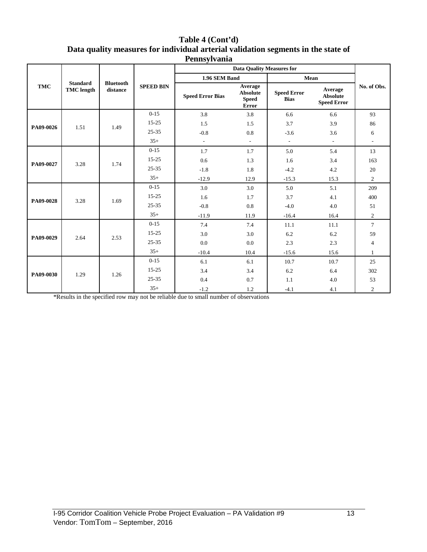| Table 4 (Cont'd)                                                                  |
|-----------------------------------------------------------------------------------|
| Data quality measures for individual arterial validation segments in the state of |
| Pennsylvania                                                                      |

|            |                                      |                              |                  | <b>Data Quality Measures for</b> |                                                            |                                   |                                                  |                          |
|------------|--------------------------------------|------------------------------|------------------|----------------------------------|------------------------------------------------------------|-----------------------------------|--------------------------------------------------|--------------------------|
| <b>TMC</b> |                                      |                              |                  | 1.96 SEM Band                    |                                                            | Mean                              |                                                  |                          |
|            | <b>Standard</b><br><b>TMC</b> length | <b>Bluetooth</b><br>distance | <b>SPEED BIN</b> | <b>Speed Error Bias</b>          | Average<br><b>Absolute</b><br><b>Speed</b><br><b>Error</b> | <b>Speed Error</b><br><b>Bias</b> | Average<br><b>Absolute</b><br><b>Speed Error</b> | No. of Obs.              |
|            |                                      |                              | $0 - 15$         | 3.8                              | 3.8                                                        | 6.6                               | 6.6                                              | 93                       |
| PA09-0026  | 1.51                                 | 1.49                         | $15 - 25$        | 1.5                              | 1.5                                                        | 3.7                               | 3.9                                              | 86                       |
|            |                                      |                              | $25 - 35$        | $-0.8$                           | 0.8                                                        | $-3.6$                            | 3.6                                              | 6                        |
|            |                                      |                              | $35+$            | $\overline{\phantom{a}}$         | $\sim$                                                     | $\overline{\phantom{a}}$          | $\sim$                                           | $\overline{\phantom{a}}$ |
|            |                                      |                              | $0 - 15$         | 1.7                              | 1.7                                                        | 5.0                               | 5.4                                              | 13                       |
| PA09-0027  | 3.28                                 | 1.74                         | $15 - 25$        | 0.6                              | 1.3                                                        | 1.6                               | 3.4                                              | 163                      |
|            |                                      |                              | $25 - 35$        | $-1.8$                           | 1.8                                                        | $-4.2$                            | 4.2                                              | 20                       |
|            |                                      |                              | $35+$            | $-12.9$                          | 12.9                                                       | $-15.3$                           | 15.3                                             | $\overline{2}$           |
|            | 3.28                                 |                              | $0 - 15$         | 3.0                              | 3.0                                                        | 5.0                               | 5.1                                              | 209                      |
| PA09-0028  |                                      | 1.69                         | $15 - 25$        | 1.6                              | 1.7                                                        | 3.7                               | 4.1                                              | 400                      |
|            |                                      |                              | $25 - 35$        | $-0.8$                           | 0.8                                                        | $-4.0$                            | 4.0                                              | 51                       |
|            |                                      |                              |                  | $35+$                            | $-11.9$                                                    | 11.9                              | $-16.4$                                          | 16.4                     |
|            |                                      |                              | $0 - 15$         | 7.4                              | 7.4                                                        | 11.1                              | 11.1                                             | $\tau$                   |
| PA09-0029  | 2.64                                 | 2.53                         | $15 - 25$        | 3.0                              | 3.0                                                        | 6.2                               | 6.2                                              | 59                       |
|            |                                      |                              | $25 - 35$        | 0.0                              | 0.0                                                        | 2.3                               | 2.3                                              | $\overline{4}$           |
|            |                                      |                              | $35+$            | $-10.4$                          | 10.4                                                       | $-15.6$                           | 15.6                                             | $\mathbf{1}$             |
|            |                                      |                              | $0 - 15$         | 6.1                              | 6.1                                                        | 10.7                              | 10.7                                             | 25                       |
| PA09-0030  | 1.29                                 | 1.26                         | $15 - 25$        | 3.4                              | 3.4                                                        | 6.2                               | 6.4                                              | 302                      |
|            |                                      |                              | $25 - 35$        | 0.4                              | 0.7                                                        | 1.1                               | 4.0                                              | 53                       |
|            |                                      |                              |                  |                                  | $35+$                                                      | $-1.2$                            | 1.2                                              | $-4.1$                   |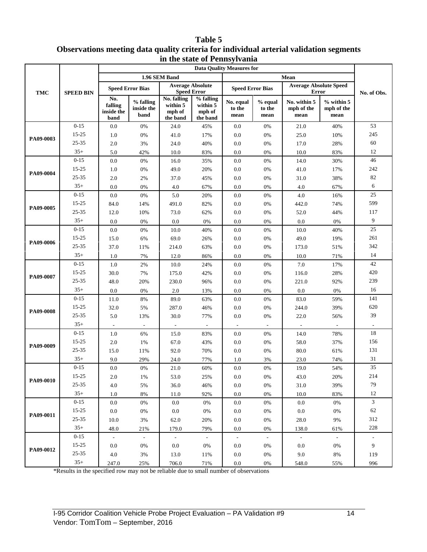#### **Table 5 Observations meeting data quality criteria for individual arterial validation segments in the state of Pennsylvania**

|            | m in state of I emisyrvania<br><b>Data Quality Measures for</b> |                                      |                                 |                                               |                                             |                             |                           |                                               |                                    |                |  |
|------------|-----------------------------------------------------------------|--------------------------------------|---------------------------------|-----------------------------------------------|---------------------------------------------|-----------------------------|---------------------------|-----------------------------------------------|------------------------------------|----------------|--|
|            | <b>SPEED BIN</b>                                                |                                      | 1.96 SEM Band                   |                                               |                                             |                             | Mean                      |                                               |                                    |                |  |
|            |                                                                 | <b>Speed Error Bias</b>              |                                 | <b>Average Absolute</b><br><b>Speed Error</b> |                                             | <b>Speed Error Bias</b>     |                           | <b>Average Absolute Speed</b><br><b>Error</b> |                                    |                |  |
| <b>TMC</b> |                                                                 | No.<br>falling<br>inside the<br>band | % falling<br>inside the<br>band | No. falling<br>within 5<br>mph of<br>the band | % falling<br>within 5<br>mph of<br>the band | No. equal<br>to the<br>mean | % equal<br>to the<br>mean | No. within 5<br>mph of the<br>mean            | $%$ within 5<br>mph of the<br>mean | No. of Obs.    |  |
|            | $0 - 15$                                                        | 0.0                                  | 0%                              | 24.0                                          | 45%                                         | 0.0                         | 0%                        | 21.0                                          | 40%                                | 53             |  |
|            | 15-25                                                           | 1.0                                  | 0%                              | 41.0                                          | 17%                                         | 0.0                         | $0\%$                     | 25.0                                          | 10%                                | 245            |  |
| PA09-0003  | 25-35                                                           | $2.0\,$                              | 3%                              | 24.0                                          | 40%                                         | $0.0\,$                     | $0\%$                     | 17.0                                          | 28%                                | $60\,$         |  |
|            | $35+$                                                           | 5.0                                  | 42%                             | 10.0                                          | 83%                                         | 0.0                         | $0\%$                     | 10.0                                          | 83%                                | 12             |  |
|            | $0 - 15$                                                        | $0.0\,$                              | 0%                              | 16.0                                          | 35%                                         | $0.0\,$                     | $0\%$                     | 14.0                                          | 30%                                | 46             |  |
| PA09-0004  | 15-25                                                           | 1.0                                  | 0%                              | 49.0                                          | 20%                                         | $0.0\,$                     | 0%                        | 41.0                                          | 17%                                | 242            |  |
|            | 25-35                                                           | $2.0\,$                              | 2%                              | 37.0                                          | 45%                                         | $0.0\,$                     | $0\%$                     | 31.0                                          | 38%                                | 82             |  |
|            | $35+$                                                           | $0.0\,$                              | 0%                              | 4.0                                           | 67%                                         | 0.0                         | $0\%$                     | 4.0                                           | 67%                                | 6              |  |
|            | $0 - 15$                                                        | 0.0                                  | 0%                              | 5.0                                           | 20%                                         | 0.0                         | 0%                        | 4.0                                           | 16%                                | 25             |  |
| PA09-0005  | 15-25                                                           | 84.0                                 | 14%                             | 491.0                                         | 82%                                         | 0.0                         | 0%                        | 442.0                                         | 74%                                | 599            |  |
|            | 25-35                                                           | 12.0                                 | 10%                             | 73.0                                          | 62%                                         | $0.0\,$                     | 0%                        | 52.0                                          | 44%                                | 117            |  |
|            | $35+$                                                           | $0.0\,$                              | 0%                              | 0.0                                           | 0%                                          | 0.0                         | 0%                        | 0.0                                           | $0\%$                              | 9              |  |
|            | $0 - 15$                                                        | $0.0\,$                              | 0%                              | 10.0                                          | 40%                                         | $0.0\,$                     | 0%                        | $10.0\,$                                      | 40%                                | $25\,$         |  |
| PA09-0006  | 15-25                                                           | 15.0                                 | 6%                              | 69.0                                          | 26%                                         | $0.0\,$                     | 0%                        | 49.0                                          | 19%                                | 261            |  |
|            | 25-35                                                           | 37.0                                 | 11%                             | 214.0                                         | 63%                                         | $0.0\,$                     | 0%                        | 173.0                                         | 51%                                | 342            |  |
|            | $35+$                                                           | 1.0                                  | 7%                              | 12.0                                          | 86%                                         | 0.0                         | $0\%$                     | 10.0                                          | 71%                                | 14             |  |
|            | $0 - 15$                                                        | 1.0                                  | $2\%$                           | 10.0                                          | 24%                                         | 0.0                         | 0%                        | 7.0                                           | 17%                                | 42             |  |
| PA09-0007  | 15-25                                                           | 30.0                                 | 7%                              | 175.0                                         | 42%                                         | 0.0                         | 0%                        | 116.0                                         | 28%                                | 420            |  |
|            | 25-35                                                           | 48.0                                 | 20%                             | 230.0                                         | 96%                                         | $0.0\,$                     | 0%                        | 221.0                                         | 92%                                | 239            |  |
|            | $35+$                                                           | $0.0\,$                              | 0%                              | 2.0                                           | 13%                                         | 0.0                         | 0%                        | 0.0                                           | 0%                                 | 16             |  |
|            | $0 - 15$                                                        | 11.0                                 | $8\%$                           | 89.0                                          | 63%                                         | $0.0\,$                     | $0\%$                     | 83.0                                          | 59%                                | 141            |  |
| PA09-0008  | 15-25                                                           | 32.0                                 | 5%                              | 287.0                                         | 46%                                         | $0.0\,$                     | 0%                        | 244.0                                         | 39%                                | 620            |  |
|            | 25-35                                                           | 5.0                                  | 13%                             | 30.0                                          | 77%                                         | $0.0\,$                     | 0%                        | 22.0                                          | 56%                                | 39             |  |
|            | $35+$                                                           |                                      |                                 |                                               |                                             |                             |                           | $\overline{\phantom{a}}$                      |                                    |                |  |
|            | $0 - 15$                                                        | 1.0                                  | 6%                              | 15.0                                          | 83%                                         | 0.0                         | 0%                        | 14.0                                          | 78%                                | 18             |  |
| PA09-0009  | 15-25                                                           | $2.0\,$                              | 1%                              | 67.0                                          | 43%                                         | 0.0                         | 0%                        | 58.0                                          | 37%                                | 156            |  |
|            | 25-35                                                           | 15.0                                 | 11%                             | 92.0                                          | 70%                                         | 0.0                         | 0%                        | $80.0\,$                                      | 61%                                | 131            |  |
|            | $35+$                                                           | 9.0                                  | 29%                             | 24.0                                          | 77%                                         | 1.0                         | 3%                        | 23.0                                          | 74%                                | 31             |  |
|            | $0 - 15$                                                        | 0.0                                  | 0%                              | 21.0                                          | 60%                                         | 0.0                         | 0%                        | 19.0                                          | 54%                                | 35             |  |
| PA09-0010  | $15 - 25$                                                       | $2.0\,$                              | 1%                              | 53.0                                          | 25%                                         | 0.0                         | 0%                        | 43.0                                          | 20%                                | 214            |  |
|            | 25-35                                                           | $4.0$                                | 5%                              | 36.0                                          | 46%                                         | $0.0\,$                     | $0\%$                     | 31.0                                          | 39%                                | 79             |  |
|            | $35+$                                                           | 1.0                                  | 8%                              | 11.0                                          | 92%                                         | 0.0                         | 0%                        | 10.0                                          | 83%                                | 12             |  |
|            | $0 - 15$                                                        | 0.0                                  | 0%                              | $0.0\,$                                       | 0%                                          | 0.0                         | 0%                        | 0.0                                           | 0%                                 | $\mathfrak{Z}$ |  |
| PA09-0011  | $15 - 25$                                                       | 0.0                                  | 0%                              | $0.0\,$                                       | 0%                                          | 0.0                         | $0\%$                     | 0.0                                           | $0\%$                              | 62             |  |
|            | $25 - 35$                                                       | 10.0                                 | 3%                              | 62.0                                          | 20%                                         | 0.0                         | $0\%$                     | 28.0                                          | 9%                                 | 312            |  |
|            | $35+$                                                           | 48.0                                 | 21%                             | 179.0                                         | 79%                                         | 0.0                         | $0\%$                     | 138.0                                         | 61%                                | 228            |  |
|            | $0 - 15$                                                        | $\mathcal{L}$                        | $\sim$                          | $\sim$                                        | $\mathcal{L}^{\mathcal{L}}$                 | $\sim$                      | $\blacksquare$            | $\omega$                                      | $\sim$                             |                |  |
| PA09-0012  | $15 - 25$                                                       | 0.0                                  | 0%                              | 0.0                                           | 0%                                          | 0.0                         | 0%                        | 0.0                                           | $0\%$                              | 9              |  |
|            | $25 - 35$                                                       | 4.0                                  | 3%                              | 13.0                                          | 11%                                         | 0.0                         | $0\%$                     | 9.0                                           | 8%                                 | 119            |  |
|            | $35+$                                                           | 247.0                                | 25%                             | 706.0                                         | 71%                                         | 0.0                         | 0%                        | 548.0                                         | 55%                                | 996            |  |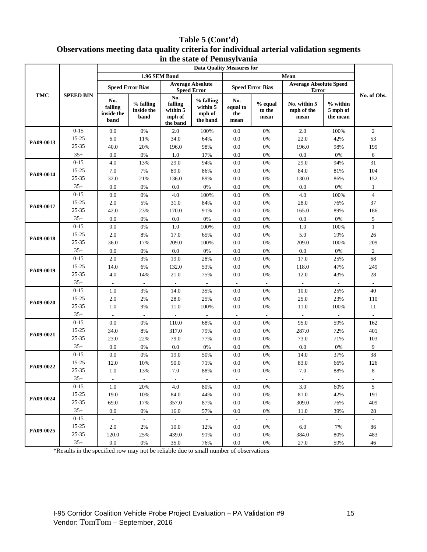### **Table 5 (Cont'd) Observations meeting data quality criteria for individual arterial validation segments in the state of Pennsylvania**

|            |                  | m incount of Femioji (anno<br><b>Data Quality Measures for</b> |                                 |                                                  |                                               |                                |                           |                                               |                                  |                                |  |
|------------|------------------|----------------------------------------------------------------|---------------------------------|--------------------------------------------------|-----------------------------------------------|--------------------------------|---------------------------|-----------------------------------------------|----------------------------------|--------------------------------|--|
| <b>TMC</b> | <b>SPEED BIN</b> |                                                                |                                 | 1.96 SEM Band                                    |                                               |                                |                           |                                               |                                  |                                |  |
|            |                  |                                                                | <b>Speed Error Bias</b>         |                                                  | <b>Average Absolute</b><br><b>Speed Error</b> |                                | <b>Speed Error Bias</b>   | <b>Average Absolute Speed</b><br><b>Error</b> |                                  |                                |  |
|            |                  | No.<br>falling<br>inside the<br>band                           | % falling<br>inside the<br>band | No.<br>falling<br>within 5<br>mph of<br>the band | % falling<br>within 5<br>mph of<br>the band   | No.<br>equal to<br>the<br>mean | % equal<br>to the<br>mean | No. within 5<br>mph of the<br>mean            | % within<br>5 mph of<br>the mean | No. of Obs.                    |  |
|            | $0 - 15$         | 0.0                                                            | 0%                              | 2.0                                              | 100%                                          | $0.0\,$                        | $0\%$                     | $2.0\,$                                       | 100%                             | $\overline{2}$                 |  |
| PA09-0013  | $15 - 25$        | 6.0                                                            | 11%                             | 34.0                                             | 64%                                           | $0.0\,$                        | $0\%$                     | 22.0                                          | 42%                              | 53                             |  |
|            | 25-35            | 40.0                                                           | 20%                             | 196.0                                            | 98%                                           | 0.0                            | 0%                        | 196.0                                         | 98%                              | 199                            |  |
|            | $35+$            | 0.0                                                            | 0%                              | 1.0                                              | 17%                                           | 0.0                            | 0%                        | 0.0                                           | 0%                               | 6                              |  |
|            | $0 - 15$         | 4.0                                                            | 13%                             | 29.0                                             | 94%                                           | $0.0\,$                        | 0%                        | 29.0                                          | 94%                              | 31                             |  |
| PA09-0014  | 15-25            | 7.0                                                            | 7%                              | 89.0                                             | 86%                                           | $0.0\,$                        | $0\%$                     | 84.0                                          | 81%                              | 104                            |  |
|            | $25 - 35$        | 32.0                                                           | 21%                             | 136.0                                            | 89%                                           | 0.0                            | $0\%$                     | 130.0                                         | 86%                              | 152                            |  |
|            | $35+$            | 0.0                                                            | $0\%$                           | 0.0                                              | $0\%$                                         | 0.0                            | 0%                        | 0.0                                           | 0%                               | $\mathbf{1}$                   |  |
|            | $0 - 15$         | 0.0                                                            | $0\%$                           | 4.0                                              | 100%                                          | 0.0                            | 0%                        | 4.0                                           | 100%                             | $\overline{4}$                 |  |
| PA09-0017  | $15 - 25$        | 2.0                                                            | 5%                              | 31.0                                             | 84%                                           | 0.0                            | $0\%$                     | 28.0                                          | 76%                              | 37                             |  |
|            | 25-35            | 42.0                                                           | 23%                             | 170.0                                            | 91%                                           | 0.0                            | 0%                        | 165.0                                         | 89%                              | 186                            |  |
|            | $35+$            | 0.0                                                            | 0%                              | 0.0                                              | 0%                                            | 0.0                            | $0\%$                     | 0.0                                           | 0%                               | 5                              |  |
|            | $0 - 15$         | 0.0                                                            | 0%                              | 1.0                                              | 100%                                          | 0.0                            | $0\%$                     | 1.0                                           | 100%                             | $\mathbf{1}$                   |  |
| PA09-0018  | 15-25            | 2.0                                                            | 8%                              | 17.0                                             | 65%                                           | 0.0                            | $0\%$                     | 5.0                                           | 19%                              | 26                             |  |
|            | 25-35            | 36.0                                                           | 17%                             | 209.0                                            | 100%                                          | $0.0\,$                        | $0\%$                     | 209.0                                         | 100%                             | 209                            |  |
|            | $35+$            | 0.0                                                            | $0\%$                           | 0.0                                              | 0%                                            | 0.0                            | 0%                        | 0.0                                           | 0%                               | $\overline{2}$                 |  |
|            | $0 - 15$         | 2.0                                                            | 3%                              | 19.0                                             | 28%                                           | 0.0                            | 0%                        | 17.0                                          | 25%                              | 68                             |  |
| PA09-0019  | 15-25<br>25-35   | 14.0                                                           | 6%                              | 132.0                                            | 53%                                           | $0.0\,$                        | $0\%$                     | 118.0                                         | 47%                              | 249                            |  |
|            | $35+$            | 4.0                                                            | 14%                             | 21.0                                             | 75%                                           | 0.0                            | $0\%$                     | 12.0                                          | 43%                              | 28                             |  |
|            | $0 - 15$         | 1.0                                                            | 3%                              | 14.0                                             | $\overline{\phantom{a}}$<br>35%               | $\sim$<br>$0.0\,$              | 0%                        | $\sim$<br>10.0                                | 25%                              | $\overline{\phantom{a}}$<br>40 |  |
|            | $15 - 25$        | 2.0                                                            | 2%                              | 28.0                                             | 25%                                           | $0.0\,$                        | $0\%$                     | 25.0                                          | 23%                              | 110                            |  |
| PA09-0020  | 25-35            | 1.0                                                            | 9%                              | 11.0                                             | 100%                                          | 0.0                            | 0%                        | 11.0                                          | 100%                             | 11                             |  |
|            | $35+$            |                                                                |                                 |                                                  | $\overline{\phantom{a}}$                      | $\mathbb{Z}^2$                 |                           | $\mathcal{L}_{\mathcal{A}}$                   |                                  |                                |  |
|            | $0 - 15$         | $0.0\,$                                                        | 0%                              | 110.0                                            | 68%                                           | 0.0                            | $0\%$                     | 95.0                                          | 59%                              | 162                            |  |
|            | $15 - 25$        | 34.0                                                           | 8%                              | 317.0                                            | 79%                                           | 0.0                            | $0\%$                     | 287.0                                         | 72%                              | 401                            |  |
| PA09-0021  | 25-35            | 23.0                                                           | 22%                             | 79.0                                             | 77%                                           | $0.0\,$                        | 0%                        | 73.0                                          | 71%                              | 103                            |  |
|            | $35+$            | 0.0                                                            | 0%                              | 0.0                                              | $0\%$                                         | 0.0                            | 0%                        | 0.0                                           | $0\%$                            | 9                              |  |
|            | $0 - 15$         | 0.0                                                            | 0%                              | 19.0                                             | 50%                                           | 0.0                            | 0%                        | 14.0                                          | 37%                              | 38                             |  |
|            | $15 - 25$        | 12.0                                                           | 10%                             | 90.0                                             | 71%                                           | $0.0\,$                        | $0\%$                     | 83.0                                          | 66%                              | 126                            |  |
| PA09-0022  | 25-35            | 1.0                                                            | 13%                             | 7.0                                              | 88%                                           | 0.0                            | 0%                        | 7.0                                           | 88%                              | 8                              |  |
|            | $35+$            | $\overline{\phantom{a}}$                                       | $\sim$                          | $\sim$                                           | $\sim$                                        | $\overline{\phantom{a}}$       | $\overline{\phantom{a}}$  | $\sim$                                        | $\sim$                           | $\overline{\phantom{a}}$       |  |
|            | $0 - 15$         | 1.0                                                            | 20%                             | 4.0                                              | 80%                                           | 0.0                            | $0\%$                     | 3.0                                           | 60%                              | $\mathfrak{S}$                 |  |
|            | 15-25            | 19.0                                                           | 10%                             | 84.0                                             | 44%                                           | 0.0                            | $0\%$                     | 81.0                                          | 42%                              | 191                            |  |
| PA09-0024  | $25 - 35$        | 69.0                                                           | 17%                             | 357.0                                            | 87%                                           | 0.0                            | 0%                        | 309.0                                         | 76%                              | 409                            |  |
|            | $35+$            | 0.0                                                            | 0%                              | 16.0                                             | 57%                                           | 0.0                            | 0%                        | 11.0                                          | 39%                              | 28                             |  |
|            | $0 - 15$         | $\mathbb{Z}^{\mathbb{Z}}$                                      | $\mathbb{Z}^2$                  | $\sim$                                           | $\sim$                                        | $\mathbb{Z}^{\mathbb{Z}}$      | $\mathbb{Z}^2$            | $\sim$                                        | $\mathbb{Z}^2$                   | $\omega$                       |  |
| PA09-0025  | 15-25            | 2.0                                                            | 2%                              | 10.0                                             | 12%                                           | 0.0                            | 0%                        | 6.0                                           | 7%                               | 86                             |  |
|            | $25 - 35$        | 120.0                                                          | 25%                             | 439.0                                            | 91%                                           | 0.0                            | 0%                        | 384.0                                         | 80%                              | 483                            |  |
|            | $35+$            | $0.0\,$                                                        | 0%                              | 35.0                                             | 76%                                           | 0.0                            | 0%                        | 27.0                                          | 59%                              | 46                             |  |